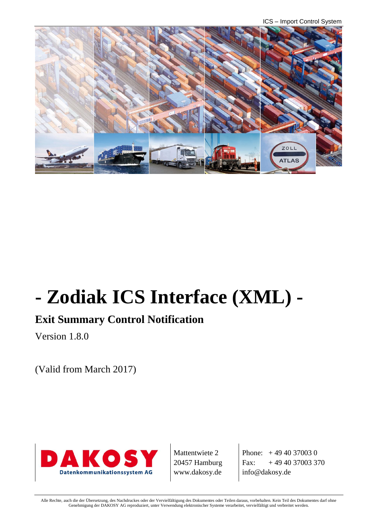ICS – Import Control System



# **- Zodiak ICS Interface (XML) -**

# **Exit Summary Control Notification**

Version 1.8.0

(Valid from March 2017)



Mattentwiete 2 20457 Hamburg www.dakosy.de

Phone:  $+4940370030$ Fax:  $+494037003370$ info@dakosy.de

Alle Rechte, auch die der Übersetzung, des Nachdruckes oder der Vervielfältigung des Dokumentes oder Teilen daraus, vorbehalten. Kein Teil des Dokumentes darf ohne Genehmigung der DAKOSY AG reproduziert, unter Verwendung elektronischer Systeme verarbeitet, vervielfältigt und verbreitet werden.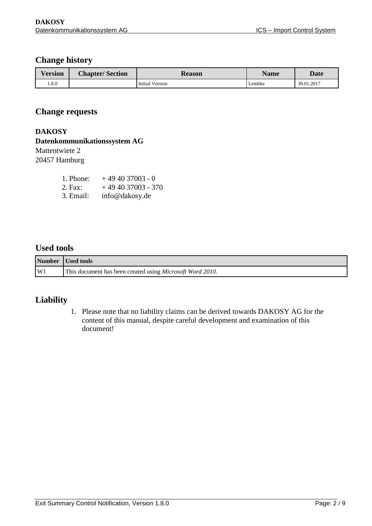#### **Change history**

| Version | <b>Chapter/Section</b> | <b>Reason</b>   | <b>Name</b> | <b>Date</b> |
|---------|------------------------|-----------------|-------------|-------------|
| 0.8.0   |                        | Initial Version | Lembke      | 30.01.2017  |

#### **Change requests**

#### **DAKOSY**

### **Datenkommunikationssystem AG**

Mattentwiete 2

20457 Hamburg

| 1. Phone: | $+494037003 - 0$   |
|-----------|--------------------|
| 2. Fax:   | $+494037003 - 370$ |
| 3. Email: | info@dakosy.de     |

#### **Used tools**

|    | Number Used tools                                                 |
|----|-------------------------------------------------------------------|
| W1 | This document has been created using <i>Microsoft Word 2010</i> . |

#### **Liability**

1. Please note that no liability claims can be derived towards DAKOSY AG for the content of this manual, despite careful development and examination of this document!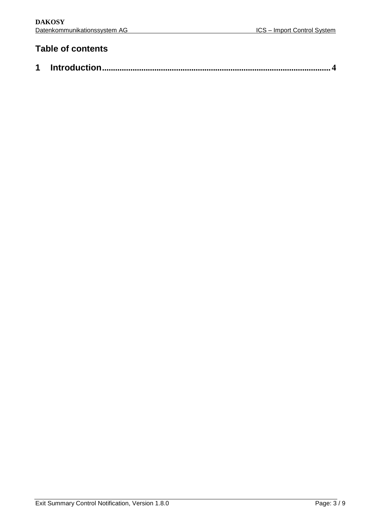## **Table of contents**

|--|--|--|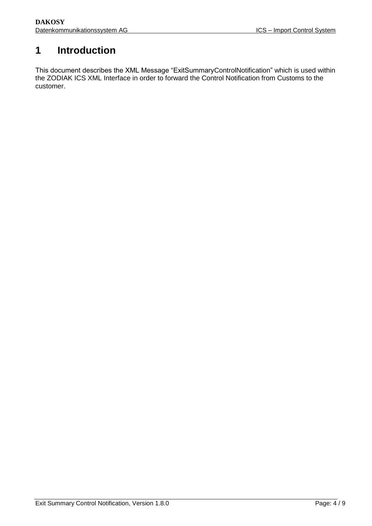## <span id="page-3-0"></span>**1 Introduction**

This document describes the XML Message "ExitSummaryControlNotification" which is used within the ZODIAK ICS XML Interface in order to forward the Control Notification from Customs to the customer.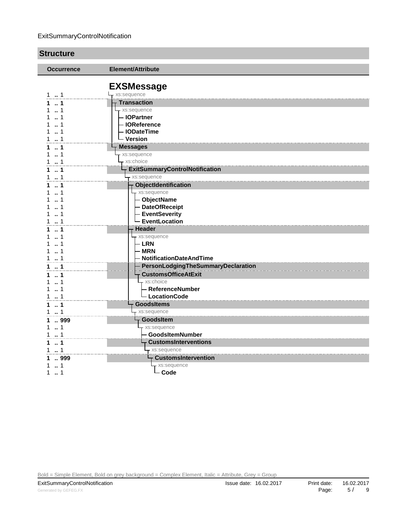#### ExitSummaryControlNotification

| <b>Structure</b>                                    |                                                                             |  |
|-----------------------------------------------------|-----------------------------------------------------------------------------|--|
| <b>Occurrence</b>                                   | Element/Attribute                                                           |  |
| 1.1                                                 | <b>EXSMessage</b><br>- xs:sequence                                          |  |
| $\sim$ 1                                            | <b>Transaction</b>                                                          |  |
| 11                                                  | - xs:sequence                                                               |  |
| 11                                                  | - IOPartner                                                                 |  |
| 11                                                  | - IOReference                                                               |  |
| 11                                                  | - IODateTime                                                                |  |
| 11                                                  | – Version                                                                   |  |
| $\sim$ 1<br>1<br>11<br>11                           | <b>Messages</b><br>xs:sequence<br>xs:choice                                 |  |
| 11                                                  | <b>ExitSummaryControlNotification</b>                                       |  |
| 1.1                                                 | xs:sequence                                                                 |  |
| 11                                                  | <b>ObjectIdentification</b>                                                 |  |
| $\ldots$ 1                                          | xs:sequence                                                                 |  |
| $\dots$ 1                                           | - ObjectName                                                                |  |
| $\sim$ 1                                            | - DateOfReceipt                                                             |  |
| $1 \t  1$                                           | - EventSeverity                                                             |  |
| 1.1                                                 | - EventLocation                                                             |  |
| $1 - 1$<br>$\sim$ 1<br>1<br>11<br>11<br>$1 \t{.} 1$ | <b>Header</b><br>xs:sequence<br>- LRN<br>- MRN<br>- NotificationDateAndTime |  |
| 1.1                                                 | - PersonLodgingTheSummaryDeclaration                                        |  |
| 11                                                  | - CustomsOfficeAtExit                                                       |  |
| 11                                                  | xs:choice                                                                   |  |
| 11                                                  | – ReferenceNumber                                                           |  |
| 1.1                                                 | - LocationCode                                                              |  |
| 1.1                                                 | <b>GoodsItems</b>                                                           |  |
| 11                                                  | xs:sequence                                                                 |  |
| 1.999                                               | <b>GoodsItem</b>                                                            |  |
| $1 \t{.} 1$                                         | xs:sequence                                                                 |  |
| 1.1                                                 | - GoodsItemNumber                                                           |  |
| 1.1                                                 | $\overline{\mathsf{T}}$ CustomsInterventions                                |  |
| 1.1                                                 | xs:sequence                                                                 |  |
| 1  999                                              | F CustomsIntervention                                                       |  |
| 1                                                   | xs:sequence                                                                 |  |
| 11                                                  | $-\text{Code}$                                                              |  |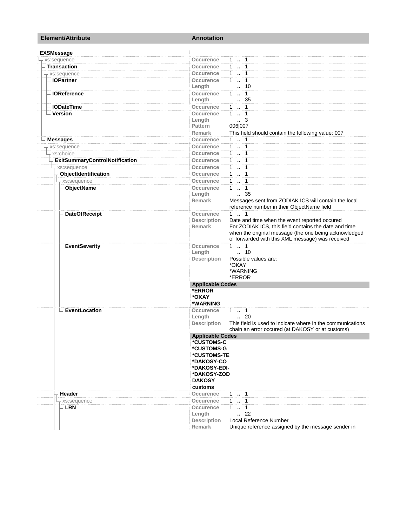| <b>Element/Attribute</b>              | <b>Annotation</b>                                                                |  |  |
|---------------------------------------|----------------------------------------------------------------------------------|--|--|
| <b>EXSMessage</b>                     |                                                                                  |  |  |
| xs:sequence                           | 1  1<br>Occurence                                                                |  |  |
| <b>Transaction</b>                    | $1 - 1$<br><b>Occurence</b>                                                      |  |  |
| xs:sequence                           | <b>Occurence</b><br>$1 \t  1$                                                    |  |  |
| <b>IOPartner</b>                      | Occurence<br>$1 \t  \t 1$                                                        |  |  |
|                                       | 10<br>Length<br>ä.                                                               |  |  |
| <b>IOReference</b>                    | $1 - 1$<br>Occurence                                                             |  |  |
|                                       | Length<br>. 35                                                                   |  |  |
| <b>IODateTime</b>                     | $1 \t  \t 1$<br>Occurence                                                        |  |  |
| - Version                             | $1 - 1$<br>Occurence                                                             |  |  |
|                                       | Length<br>$\cdot$ 3                                                              |  |  |
|                                       | 006 007<br><b>Pattern</b>                                                        |  |  |
|                                       | <b>Remark</b><br>This field should contain the following value: 007              |  |  |
| <b>Messages</b>                       | $1 - 1$<br>Occurence                                                             |  |  |
| xs:sequence                           | $1 - 1$<br>Occurence                                                             |  |  |
| xs:choice                             | 1  1<br>Occurence                                                                |  |  |
| <b>ExitSummaryControlNotification</b> | $1 - 1$<br>Occurence                                                             |  |  |
|                                       | $1 - 1$                                                                          |  |  |
| - xs:sequence                         | Occurence                                                                        |  |  |
| ObjectIdentification                  | $1 - 1$<br>Occurence                                                             |  |  |
| - xs:sequence                         | Occurence<br>11                                                                  |  |  |
| ObjectName                            | <b>Occurence</b><br>$1 \t  \t 1$                                                 |  |  |
|                                       | $\frac{1}{2}$ 35<br>Length                                                       |  |  |
|                                       | Messages sent from ZODIAK ICS will contain the local<br>Remark                   |  |  |
|                                       | reference number in their ObjectName field                                       |  |  |
| <b>DateOfReceipt</b>                  | $1 \t  \t 1$<br>Occurence                                                        |  |  |
|                                       | Date and time when the event reported occured<br><b>Description</b>              |  |  |
|                                       | For ZODIAK ICS, this field contains the date and time<br><b>Remark</b>           |  |  |
|                                       | when the original message (the one being acknowledged                            |  |  |
|                                       | of forwarded with this XML message) was received                                 |  |  |
| <b>EventSeverity</b>                  | $1 \quad 1$<br><b>Occurence</b>                                                  |  |  |
|                                       | Length<br>$\ldots$ 10                                                            |  |  |
|                                       | Possible values are:<br><b>Description</b>                                       |  |  |
|                                       | *OKAY                                                                            |  |  |
|                                       | *WARNING                                                                         |  |  |
|                                       | *ERROR                                                                           |  |  |
|                                       | <b>Applicable Codes</b>                                                          |  |  |
|                                       | *ERROR                                                                           |  |  |
|                                       | *OKAY                                                                            |  |  |
|                                       | *WARNING                                                                         |  |  |
| EventLocation                         | $1 \t  \t 1$<br>Occurence                                                        |  |  |
|                                       | $\cdot$ 20<br>Length                                                             |  |  |
|                                       | <b>Description</b><br>This field is used to indicate where in the communications |  |  |
|                                       | chain an error occured (at DAKOSY or at customs)                                 |  |  |
|                                       | <b>Applicable Codes</b><br>*CUSTOMS-C                                            |  |  |
|                                       | *CUSTOMS-G                                                                       |  |  |
|                                       | *CUSTOMS-TE                                                                      |  |  |
|                                       | *DAKOSY-CO                                                                       |  |  |
|                                       | *DAKOSY-EDI-                                                                     |  |  |
|                                       | *DAKOSY-ZOD                                                                      |  |  |
|                                       | <b>DAKOSY</b>                                                                    |  |  |
|                                       | customs                                                                          |  |  |
| Header                                | Occurence<br>$1 \t  1$                                                           |  |  |
|                                       | $1 - 1$                                                                          |  |  |
| - xs:sequence                         | Occurence                                                                        |  |  |
| - LRN                                 | Occurence<br>$\overline{1}$<br>1.                                                |  |  |
|                                       | $\binom{2}{2}$<br>Length                                                         |  |  |
|                                       | Local Reference Number<br><b>Description</b>                                     |  |  |
|                                       | Unique reference assigned by the message sender in<br>Remark                     |  |  |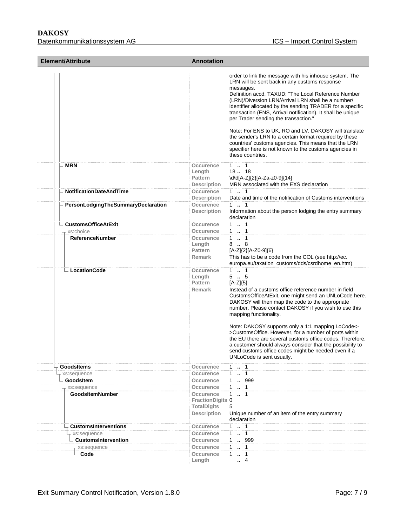| Element/Attribute                  | Annotation                                                                              |                                                                                                                                                                                                                                                                                                                                                                                                                                                                                                                                                                                                                                                                |  |
|------------------------------------|-----------------------------------------------------------------------------------------|----------------------------------------------------------------------------------------------------------------------------------------------------------------------------------------------------------------------------------------------------------------------------------------------------------------------------------------------------------------------------------------------------------------------------------------------------------------------------------------------------------------------------------------------------------------------------------------------------------------------------------------------------------------|--|
|                                    |                                                                                         | order to link the message with his inhouse system. The<br>LRN will be sent back in any customs response<br>messages.<br>Definition accd. TAXUD: "The Local Reference Number<br>(LRN)/Diversion LRN/Arrival LRN shall be a number/<br>identifier allocated by the sending TRADER for a specific<br>transaction (ENS, Arrival notification). It shall be unique<br>per Trader sending the transaction."<br>Note: For ENS to UK, RO and LV, DAKOSY will translate<br>the sender's LRN to a certain format required by these<br>countries' customs agencies. This means that the LRN<br>specifier here is not known to the customs agencies in<br>these countries. |  |
| - MRN                              | Occurence<br>Length<br><b>Pattern</b><br><b>Description</b>                             | 1 . 1<br>18. 18<br>\d\d[A-Z]{2}[A-Za-z0-9]{14}<br>MRN associated with the EXS declaration                                                                                                                                                                                                                                                                                                                                                                                                                                                                                                                                                                      |  |
| <b>NotificationDateAndTime</b>     | <b>Occurence</b>                                                                        | $1 \t  \t 1$                                                                                                                                                                                                                                                                                                                                                                                                                                                                                                                                                                                                                                                   |  |
| PersonLodgingTheSummaryDeclaration | <b>Description</b><br><b>Occurence</b><br><b>Description</b>                            | Date and time of the notification of Customs interventions<br>$1 \t  \t 1$<br>Information about the person lodging the entry summary<br>declaration                                                                                                                                                                                                                                                                                                                                                                                                                                                                                                            |  |
| <b>CustomsOfficeAtExit</b>         | Occurence                                                                               | $1 \t  \t 1$                                                                                                                                                                                                                                                                                                                                                                                                                                                                                                                                                                                                                                                   |  |
| xs:choice                          | Occurence                                                                               | 1  1                                                                                                                                                                                                                                                                                                                                                                                                                                                                                                                                                                                                                                                           |  |
| <b>ReferenceNumber</b>             | Occurence<br>Length<br>Pattern<br><b>Remark</b>                                         | $1 \cdot 1$<br>$8 \dots 8$<br>[A-Z]{2}[A-Z0-9]{6}<br>This has to be a code from the COL (see http://ec.<br>europa.eu/taxation_customs/dds/csrdhome_en.htm)                                                                                                                                                                                                                                                                                                                                                                                                                                                                                                     |  |
| - LocationCode                     | Occurence<br>Length<br>Pattern<br><b>Remark</b>                                         | $1 \t{.} 1$<br>$5-.5$<br>$[A-Z]\{5\}$<br>Instead of a customs office reference number in field<br>CustomsOfficeAtExit, one might send an UNLoCode here.<br>DAKOSY will then map the code to the appropriate<br>number. Please contact DAKOSY if you wish to use this<br>mapping functionality.<br>Note: DAKOSY supports only a 1:1 mapping LoCode<-<br>>CustomsOffice. However, for a number of ports within<br>the EU there are several customs office codes. Therefore,<br>a customer should always consider that the possibility to<br>send customs office codes might be needed even if a<br>UNLoCode is sent usually.                                     |  |
| GoodsItems                         | <b>Occurence</b>                                                                        | 1  1                                                                                                                                                                                                                                                                                                                                                                                                                                                                                                                                                                                                                                                           |  |
| xs:sequence                        | Occurence                                                                               | $1 - 1$                                                                                                                                                                                                                                                                                                                                                                                                                                                                                                                                                                                                                                                        |  |
| <b>GoodsItem</b>                   | <b>Occurence</b>                                                                        | 1 . 999                                                                                                                                                                                                                                                                                                                                                                                                                                                                                                                                                                                                                                                        |  |
| xs:sequence                        | Occurence                                                                               | $1 \t  1$                                                                                                                                                                                                                                                                                                                                                                                                                                                                                                                                                                                                                                                      |  |
| <b>GoodsItemNumber</b>             | <b>Occurence</b><br><b>FractionDigits 0</b><br><b>TotalDigits</b><br><b>Description</b> | $\mathbf{1}$<br>$\ldots$ 1<br>5<br>Unique number of an item of the entry summary<br>declaration                                                                                                                                                                                                                                                                                                                                                                                                                                                                                                                                                                |  |
| <b>CustomsInterventions</b>        | <b>Occurence</b>                                                                        | $1 \t  1$                                                                                                                                                                                                                                                                                                                                                                                                                                                                                                                                                                                                                                                      |  |
| - xs:sequence                      | Occurence                                                                               | $1 \t  \t 1$                                                                                                                                                                                                                                                                                                                                                                                                                                                                                                                                                                                                                                                   |  |
| <b>CustomsIntervention</b>         | Occurence                                                                               | 1 . 999                                                                                                                                                                                                                                                                                                                                                                                                                                                                                                                                                                                                                                                        |  |
| xs:sequence<br>- Code              | <b>Occurence</b><br>Occurence<br>Length                                                 | 1  1<br>1<br>$\ldots$ 1<br>$\overline{4}$<br>$\ddot{\phantom{a}}$                                                                                                                                                                                                                                                                                                                                                                                                                                                                                                                                                                                              |  |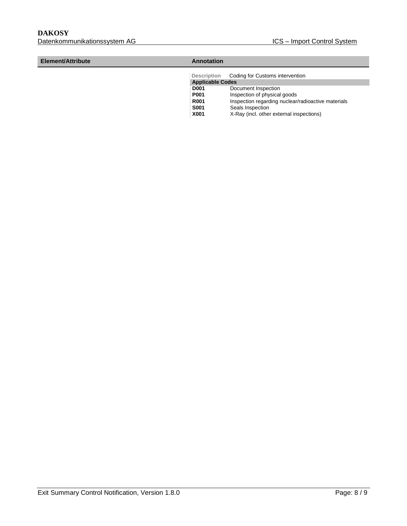**R001** Inspection regarding nuclear/radioactive materials<br>**S001** Seals Inspection

Seals Inspection **X001** X-Ray (incl. other external inspections)

| Element/Attribute | Annotation              |                                                    |  |
|-------------------|-------------------------|----------------------------------------------------|--|
|                   |                         | Description Coding for Customs intervention        |  |
|                   | <b>Applicable Codes</b> |                                                    |  |
|                   | <b>D001</b>             | Document Inspection                                |  |
|                   | <b>P001</b>             | Inspection of physical goods                       |  |
|                   | <b>R001</b>             | Inspection regarding nuclear/radioactive materials |  |

Exit Summary Control Notification, Version 1.8.0 Page: 8 / 9